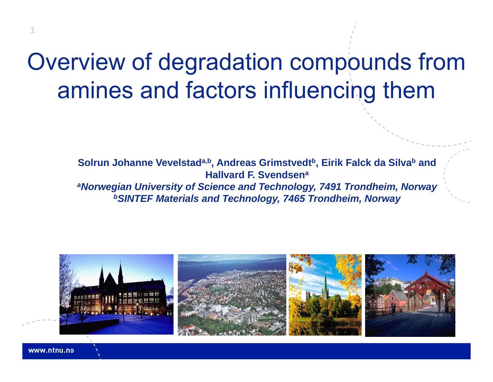### Overview of degradation compounds from amines and factors influencing them

**Solrun Johanne Vevelstad<sup>a,b</sup>, Andreas Grimstvedt<sup>b</sup>, Eirik Falck da Silva<sup>b</sup> and Hallvard F. Svendsena** *aNorwegian University of Science and Technology, 7491 Trondheim, Norway bSINTEF Materials and Technology, 7465 Trondheim, Norway*



www.ntnu.no

**1**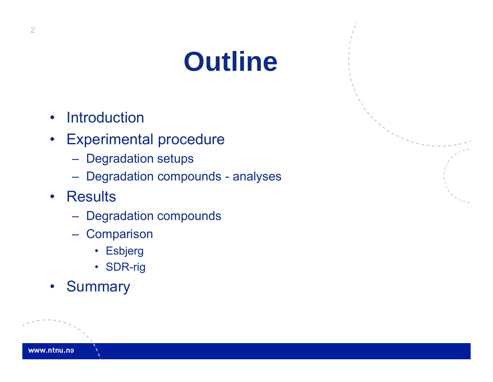# **Outline**

- $\bullet$ **Introduction**
- • Experimental procedure
	- Degradation setups
	- Degradation compounds analyses
- Results
	- Degradation compounds
	- **Comparison** 
		- Esbjerg
		- SDR-rig
- •**Summary**

www.ntnu.no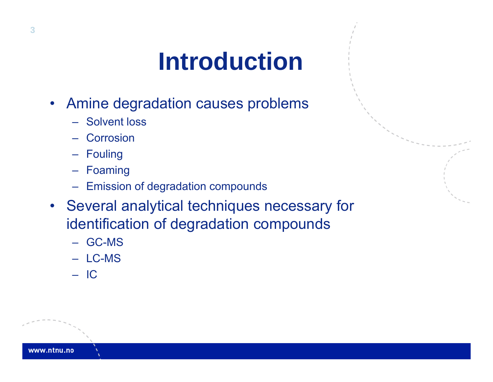## **Introduction**

- Amine degradation causes problems
	- Solvent loss
	- Corrosion
	- Fouling
	- Foaming
	- Emission of degradation compounds
- Several analytical techniques necessary for identification of degradation compounds
	- GC-MS
	- LC-MS
	- IC

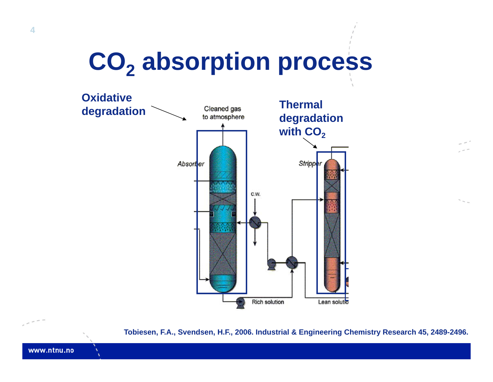# **CO<sub>2</sub> absorption process**



**Tobiesen, F.A., Svendsen, H.F., 2006. Industrial & Engineering Chemistry Research 45, 2489-2496.**

www.ntnu.no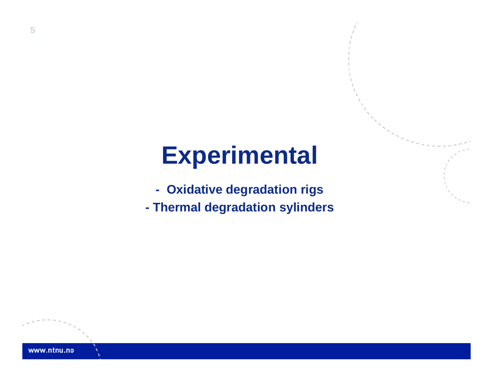### **Experimental**

- **- Oxidative degradation rigs**
- **- Thermal degradation sylinders**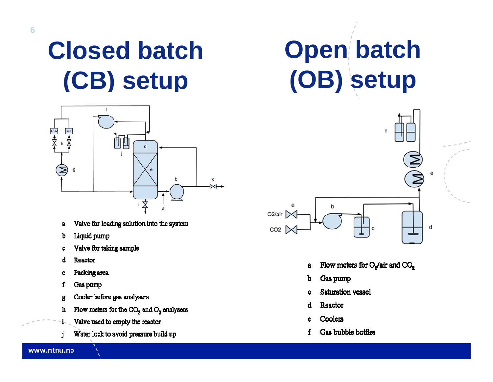### **Closed batch Open batch (CB) setup (OB) setup**



- Valve for loading solution into the system  $\mathbf{a}$
- Liquid pump b
- Valve for taking sample  $\bullet$
- d Reactor
- Packing area e
- Gas pump f
- Cooler before gas analysers g
- Flow meters for the CO<sub>2</sub> and O<sub>2</sub> analysers h
- Valve used to empty the reactor i.
- Water lock to avoid pressure build up j.



- Flow meters for O<sub>2</sub>/air and CO<sub>2</sub> a
- Gas pump Ъ
- Saturation vessel
- Reactor d
- Coolers e
- Gas bubble bottles f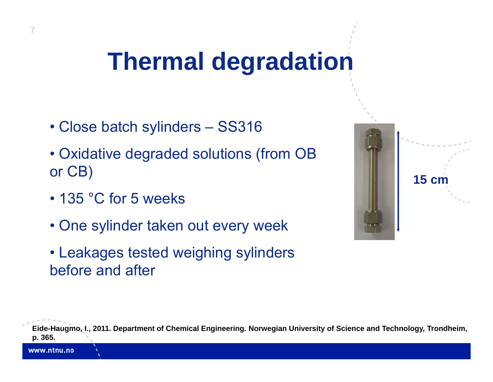## **Thermal degradation**

- Close batch sylinders SS316
- Oxidative degraded solutions (from OB CB) **15 cm**or CB) and  $\begin{array}{|c|c|c|c|c|}\hline \rule{0pt}{16pt} \rule{0pt}{16pt} \rule{0pt}{16pt} \rule{0pt}{16pt} \rule{0pt}{16pt} \rule{0pt}{16pt} \rule{0pt}{16pt} \rule{0pt}{16pt} \rule{0pt}{16pt} \rule{0pt}{16pt} \rule{0pt}{16pt} \rule{0pt}{16pt} \rule{0pt}{16pt} \rule{0pt}{16pt} \rule{0pt}{16pt} \rule{0pt}{16pt} \rule{0pt}{16pt} \rule{0pt}{16pt} \rule{0pt}{16pt}$
- 135 °C for 5 weeks
- One sylinder taken out every week
- Leakages tested weighing sylinders before and after



**Eide-Haugmo, I., 2011. Department of Chemical Engineering. Norwegian University of Science and Technology, Trondheim, p. 365.**

www.ntnu.no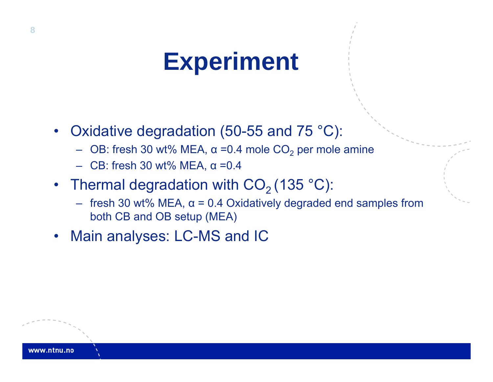### **Experiment**

- $\bullet$  Oxidative degradation (50-55 and 75 °C):
	- $\,$  OB: fresh 30 wt% MEA, α =0.4 mole CO $_2$  per mole amine
	- CB: fresh 30 wt% MEA, α =0.4
- Thermal degradation with CO $_2$  (135 °C):
	- fresh 30 wt% MEA, <sup>α</sup> = 0.4 Oxidatively degraded end samples from both CB and OB setup (MEA)
- $\bullet$ Main analyses: LC-MS and IC

vww.ntnu.no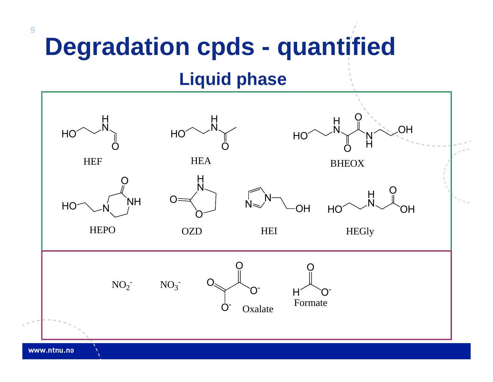## **Degradation cpds - quantified**

#### **Liquid phase**

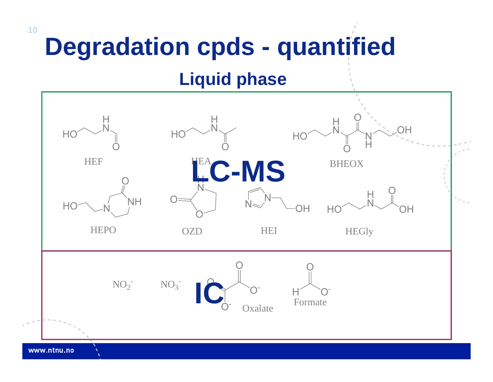# **Degradation cpds - quantified**

#### **Liquid phase**

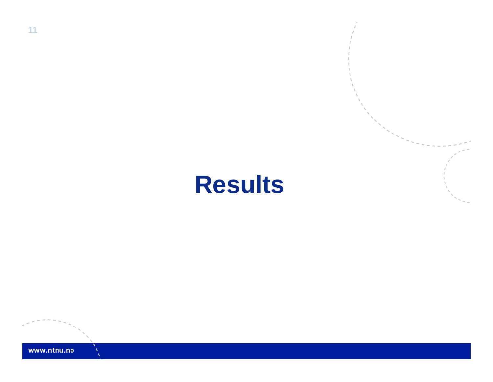### **Results**

**11**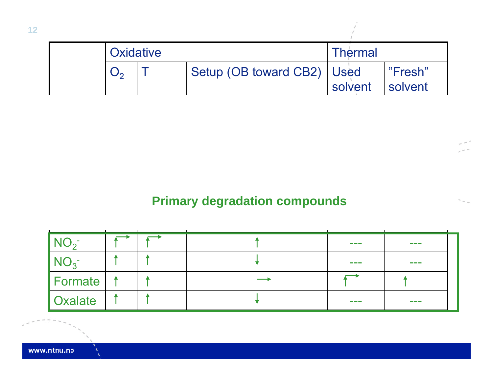| <b>Oxidative</b> |                              | <b>Thermal</b>  |         |  |
|------------------|------------------------------|-----------------|---------|--|
|                  | Setup (OB toward CB2)   Used | solvent solvent | "Fresh" |  |

#### **Primary degradation compounds**

|                 |  | <b>Contract Contract</b>  | the control of the con-  |
|-----------------|--|---------------------------|--------------------------|
| $\mathsf{NU}_3$ |  | <b>Contract Contract</b>  | <b>Contract Contract</b> |
| <b>Formate</b>  |  |                           |                          |
| <b>Oxalate</b>  |  | <b>The Common Service</b> | the control of the con-  |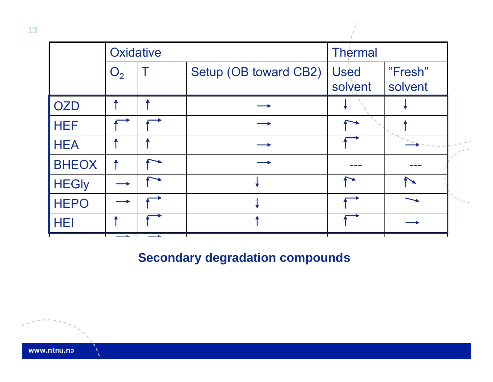

**13**

www.ntnu.no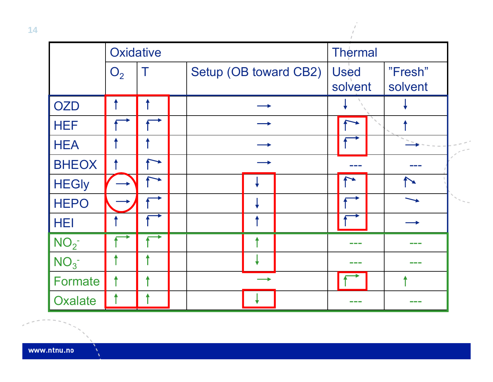|                 | Oxidative      |  |  |                       |  | <b>Thermal</b>         |                  |                    |  |  |
|-----------------|----------------|--|--|-----------------------|--|------------------------|------------------|--------------------|--|--|
|                 | O <sub>2</sub> |  |  | Setup (OB toward CB2) |  | <b>Used</b><br>solvent |                  | "Fresh"<br>solvent |  |  |
| <b>OZD</b>      |                |  |  |                       |  |                        |                  |                    |  |  |
| <b>HEF</b>      |                |  |  |                       |  |                        |                  |                    |  |  |
| <b>HEA</b>      |                |  |  |                       |  |                        |                  |                    |  |  |
| <b>BHEOX</b>    |                |  |  |                       |  |                        |                  |                    |  |  |
| <b>HEGly</b>    |                |  |  |                       |  |                        |                  |                    |  |  |
| <b>HEPO</b>     |                |  |  |                       |  |                        |                  |                    |  |  |
| <b>HEI</b>      |                |  |  |                       |  |                        |                  |                    |  |  |
| NO <sub>2</sub> |                |  |  |                       |  |                        |                  |                    |  |  |
| NO <sub>3</sub> |                |  |  |                       |  |                        | and the property |                    |  |  |
| Formate         |                |  |  |                       |  |                        |                  |                    |  |  |
| <b>Oxalate</b>  |                |  |  |                       |  |                        |                  |                    |  |  |

 $\Lambda$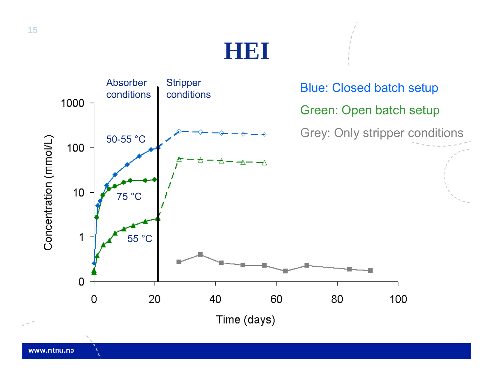

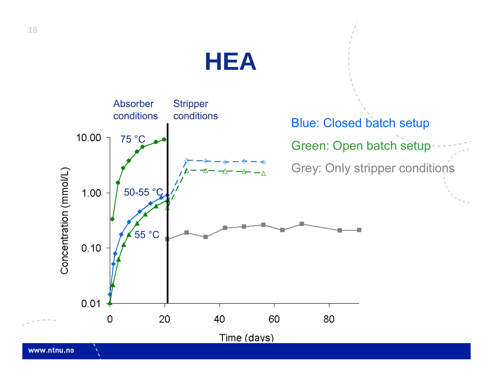### **HEA**



**16**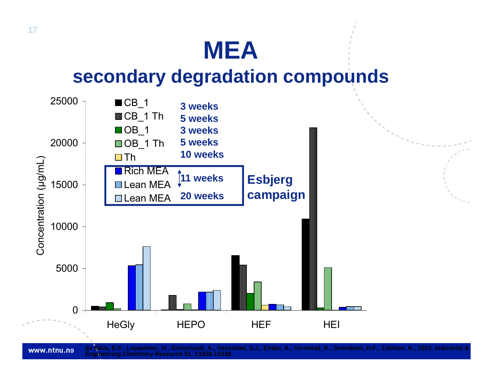### **MEA**

### **d d d ti d secondary degradation compounds**



www.ntnu.no

**da Silva, E.F., Lepaumier, H., Grimstvedt, A., Vevelstad, S.J., Einbu, A., Vernstad, K., Svendsen, H.F., Zahlsen, K., 2012. Industrial & Engineering Chemistry Research 51, 13329-13338.**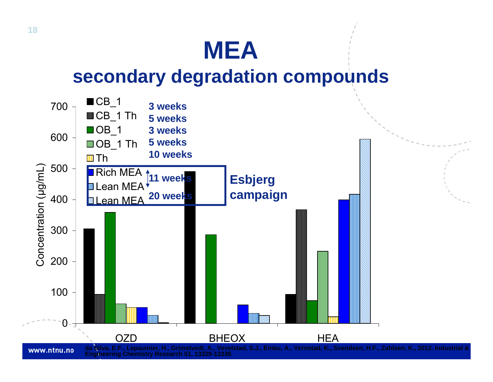### **MEA**

#### **d d d ti d secondary degradation compounds**

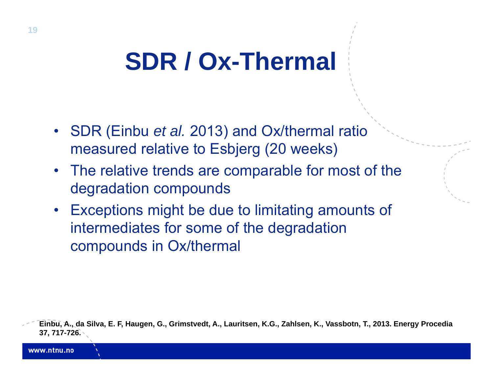# **SDR / Ox-Thermal**

- SDR (Einbu *et al.* 2013) and Ox/thermal ratio measured relative to Esbjerg (20 weeks)
- $\bullet$ • The relative trends are comparable for most of the degradation compounds
- $\bullet$  Exceptions might be due to limitating amounts of intermediates for some of the degradation compounds in Ox/thermal

**Einbu, A., da Silva, E. F, Haugen, G., Grimstvedt, A., Lauritsen, K.G., Zahlsen, K., Vassbotn, T., 2013. Energy Procedia 37, 717-726.**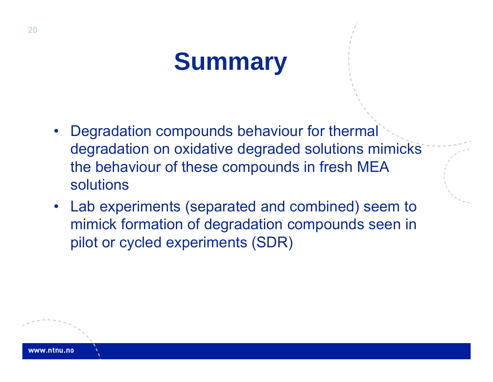# **Summary**

- • Degradation compounds behaviour for thermal degradation on oxidative degraded solutions mimicks the behaviour of these compounds in fresh MEA solutions
- $\bullet$  Lab experiments (separated and combined) seem to mimick formation of degradation compounds seen in pilot or cycled experiments (SDR)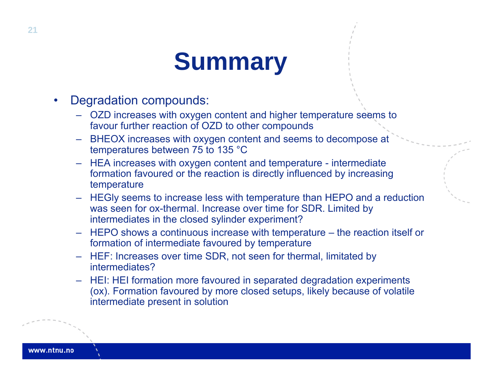## **Summary**

- $\bullet$  Degradation compounds:
	- OZD increases with oxygen content and higher temperature seems to favour further reaction of OZD to other compounds
	- BHEOX increases with oxygen content and seems to decompose at temperatures between 75 to 135 °C
	- HEA increases with oxygen content and temperature intermediate formation favoured or the reaction is directly influenced by increasing temperature
	- HEGly seems to increase less with temperature than HEPO and a reduction was seen for ox-thermal. Increase over time for SDR. Limited by intermediates in the closed sylinder experiment?
	- HEPO shows a continuous increase with temperature the reaction itself or formation of intermediate favoured by temperature
	- HEF: Increases over time SDR, not seen for thermal, limitated by intermediates?
	- HEI: HEI formation more favoured in separated degradation experiments (ox). Formation favoured by more closed setups, likely because of volatile intermediate present in solution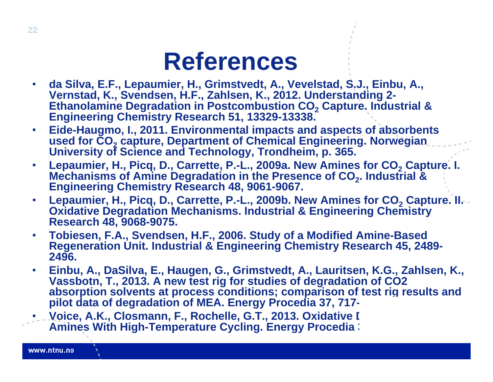### **References**

- • **da Silva, E.F., Lepaumier, H., Grimstvedt, A., Vevelstad, S.J., Einbu, A., Vernstad, K., Svendsen, H.F., Zahlsen, K., 2012. Understanding 2- Ethanolamine Degradation in Postcombustion CO 2**Ethanolamine Degradation in Postcombustion CO<sub>2</sub> Capture. Industrial &<br>Engineering Chemistry Research 51, 13329-13338. **Engineering Chemistry Research 51, 13329-13338.**
- **Eide-Haugmo, I., 2011. Environmental impacts and aspects of absorbents used for CO 2**used for CO<sub>2</sub> capture, Department of Chemical Engineering. Norwegian<br>University of Science and Technology, Trondheim, p. 365.
- •• Lepaumier, H., Picq, D., Carrette, P.-L., 2009a. New Amines for  $\mathsf{CO}_{2}$  Capture. I Lepaumier, H., Picq, D., Carrette, P.-L., 2009a. New Amines for CO<sub>2</sub> Capture. I.<br>Mechanisms of Amine Degradation in the Presence of CO<sub>2</sub>. Industrial & Mechanisms of Amine Degradation in the Presence of CO<sub>2</sub>. Industrial &<br>Engineering Chemistry Research 48, 9061-9067.
- • **Lepaumier, H., Picq, D., Carrette, P.-L., 2009b. New Amines for CO 2**Lepaumier, H., Picq, D., Carrette, P.-L., 2009b. New Amines for CO<sub>2</sub> Capture. II.<br>Oxidative Degradation Mechanisms. Industrial & Engineering Chemistry **Oxidative Degradation Mechanisms. Industrial & Engineering Chemistry Research 48, 9068-9075.**
- **Tobiesen, F.A., Svendsen, H.F., 2006. Study of a Modified Amine-Based Regeneration Unit. Industrial & Engineering Chemistry Research 45, 2489- 2496.**
- • **Einbu, A., DaSilva, E., Haugen, G., Grimstvedt, A., Lauritsen, K.G., Zahlsen, K., Vassbotn, T., 2013. A new test rig for studies of degradation of CO2 absorption solvents at process conditions; comparison of test rig results and pilot data of degradation of MEA. Energy Procedia 37, 717-**
- **Voice, A.K., Closmann, F., Rochelle, G.T., 2013. Oxidative I Amines With High-Temperature Cycling. Energy Procedia:**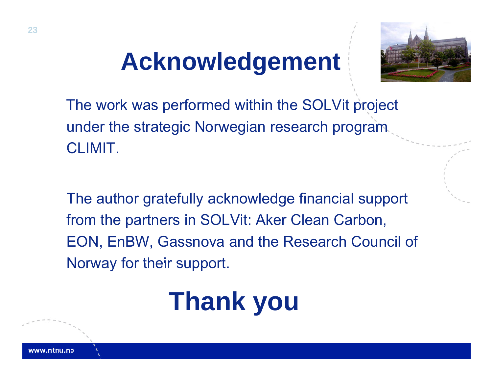# **Acknowledgement**



The work was performed within the SOLVit project under the strategic Norwegian research program CLIMIT.

The author gratefully acknowledge financial support from the partners in SOLVit: Aker Clean Carbon, EON, EnBW, Gassnova and the Research Council of Norway for their support.

# **Thank you**